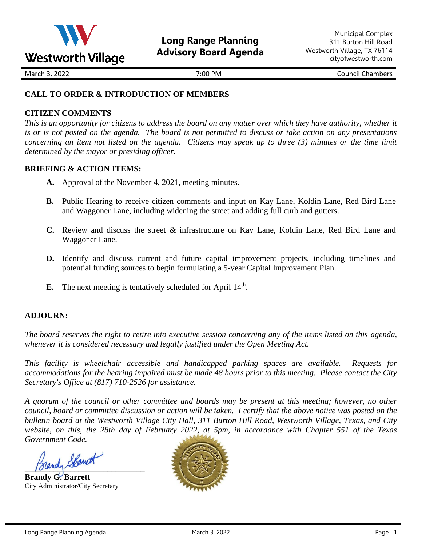

March 3, 2022 **March 3, 2022** Council Chambers **7:00 PM** Council Chambers **Council Chambers** 

# **CALL TO ORDER & INTRODUCTION OF MEMBERS**

# **CITIZEN COMMENTS**

*This is an opportunity for citizens to address the board on any matter over which they have authority, whether it is or is not posted on the agenda. The board is not permitted to discuss or take action on any presentations concerning an item not listed on the agenda. Citizens may speak up to three (3) minutes or the time limit determined by the mayor or presiding officer.*

## **BRIEFING & ACTION ITEMS:**

- **A.** Approval of the November 4, 2021, meeting minutes.
- **B.** Public Hearing to receive citizen comments and input on Kay Lane, Koldin Lane, Red Bird Lane and Waggoner Lane, including widening the street and adding full curb and gutters.
- **C.** Review and discuss the street & infrastructure on Kay Lane, Koldin Lane, Red Bird Lane and Waggoner Lane.
- **D.** Identify and discuss current and future capital improvement projects, including timelines and potential funding sources to begin formulating a 5-year Capital Improvement Plan.
- **E.** The next meeting is tentatively scheduled for April 14<sup>th</sup>.

## **ADJOURN:**

*The board reserves the right to retire into executive session concerning any of the items listed on this agenda, whenever it is considered necessary and legally justified under the Open Meeting Act.*

*This facility is wheelchair accessible and handicapped parking spaces are available. Requests for accommodations for the hearing impaired must be made 48 hours prior to this meeting. Please contact the City Secretary's Office at (817) 710-2526 for assistance.*

*A quorum of the council or other committee and boards may be present at this meeting; however, no other council, board or committee discussion or action will be taken. I certify that the above notice was posted on the bulletin board at the Westworth Village City Hall, 311 Burton Hill Road, Westworth Village, Texas, and City website, on this, the 28th day of February 2022, at 5pm, in accordance with Chapter 551 of the Texas Government Code.* 

**\_\_\_\_\_\_\_\_\_\_\_\_\_\_\_\_\_\_\_\_\_\_\_\_\_\_\_\_\_**

**Brandy G. Barrett** City Administrator/City Secretary

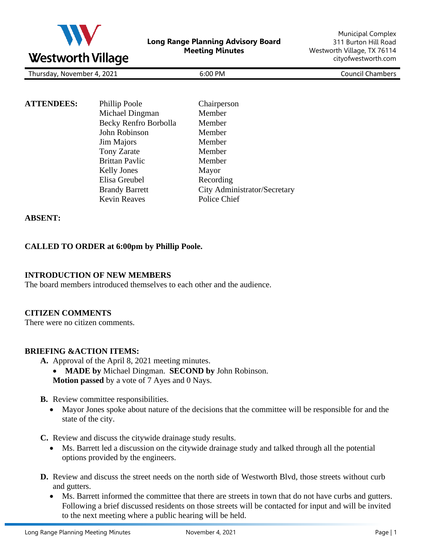

| $\sim$<br>2021<br>l hursdav,<br>. November<br>u sdav<br>_____ | <b>PM</b><br>6:00<br>. | _ouncil ′<br>Chambers |
|---------------------------------------------------------------|------------------------|-----------------------|
|                                                               |                        |                       |

| <b>ATTENDEES:</b> | Phillip Poole         | Chairperson                  |
|-------------------|-----------------------|------------------------------|
|                   | Michael Dingman       | Member                       |
|                   | Becky Renfro Borbolla | Member                       |
|                   | John Robinson         | Member                       |
|                   | Jim Majors            | Member                       |
|                   | <b>Tony Zarate</b>    | Member                       |
|                   | <b>Brittan Pavlic</b> | Member                       |
|                   | <b>Kelly Jones</b>    | Mayor                        |
|                   | Elisa Greubel         | Recording                    |
|                   | <b>Brandy Barrett</b> | City Administrator/Secretary |
|                   | <b>Kevin Reaves</b>   | Police Chief                 |

### **ABSENT:**

### **CALLED TO ORDER at 6:00pm by Phillip Poole.**

### **INTRODUCTION OF NEW MEMBERS**

The board members introduced themselves to each other and the audience.

### **CITIZEN COMMENTS**

There were no citizen comments.

### **BRIEFING &ACTION ITEMS:**

- **A.** Approval of the April 8, 2021 meeting minutes.
	- **MADE by** Michael Dingman. **SECOND by** John Robinson. **Motion passed** by a vote of 7 Ayes and 0 Nays.
- **B.** Review committee responsibilities.
	- Mayor Jones spoke about nature of the decisions that the committee will be responsible for and the state of the city.

**C.** Review and discuss the citywide drainage study results.

- Ms. Barrett led a discussion on the citywide drainage study and talked through all the potential options provided by the engineers.
- **D.** Review and discuss the street needs on the north side of Westworth Blvd, those streets without curb and gutters.
	- Ms. Barrett informed the committee that there are streets in town that do not have curbs and gutters. Following a brief discussed residents on those streets will be contacted for input and will be invited to the next meeting where a public hearing will be held.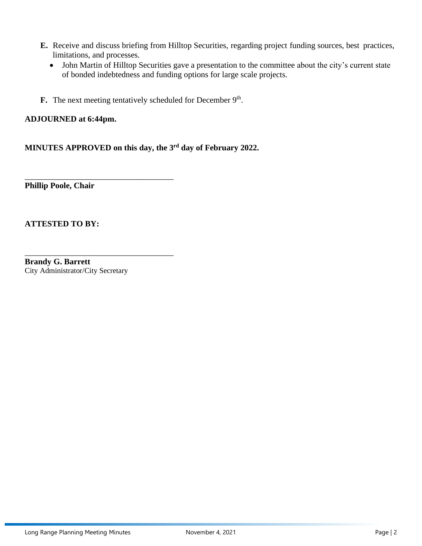- **E.** Receive and discuss briefing from Hilltop Securities, regarding project funding sources, best practices, limitations, and processes.
	- John Martin of Hilltop Securities gave a presentation to the committee about the city's current state of bonded indebtedness and funding options for large scale projects.
- **F.** The next meeting tentatively scheduled for December 9<sup>th</sup>.

## **ADJOURNED at 6:44pm.**

\_\_\_\_\_\_\_\_\_\_\_\_\_\_\_\_\_\_\_\_\_\_\_\_\_\_\_\_\_\_\_\_\_\_\_\_

\_\_\_\_\_\_\_\_\_\_\_\_\_\_\_\_\_\_\_\_\_\_\_\_\_\_\_\_\_\_\_\_\_\_\_\_

**MINUTES APPROVED on this day, the 3 rd day of February 2022.** 

**Phillip Poole, Chair**

**ATTESTED TO BY:** 

**Brandy G. Barrett** City Administrator/City Secretary